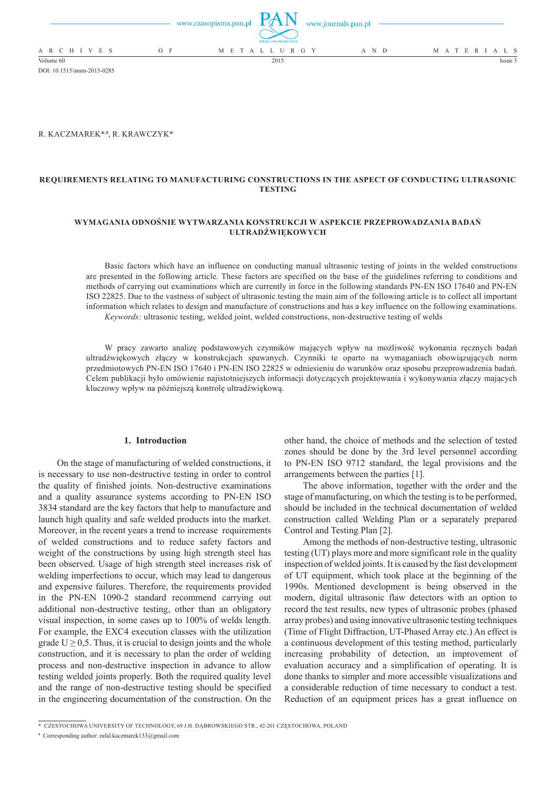|                          | www.czasopisma.pan.pl | www.journals.pan.pl<br>POLSKA AKADEMIA NAUK |       |                   |
|--------------------------|-----------------------|---------------------------------------------|-------|-------------------|
| A R C H I V E S<br>$O$ F |                       | M E T A L L U R G Y                         | A N D | M A T E R I A L S |
| Volume 60                |                       | 2015                                        |       | Issue 3           |

R. Kaczmarek\*,**#** , R. Krawczyk\*

DOI: 10.1515/amm-2015-0285

# **requirements relating to manufacturing constructions in the aspect of conducting ultrasonic testing**

## **wymagania odnośnie wytwarzania konstrukcji w aspekcie przeprowadzania badań ultradźwiękowych**

Basic factors which have an influence on conducting manual ultrasonic testing of joints in the welded constructions are presented in the following article. These factors are specified on the base of the guidelines referring to conditions and methods of carrying out examinations which are currently in force in the following standards PN-EN ISO 17640 and PN-EN ISO 22825. Due to the vastness of subject of ultrasonic testing the main aim of the following article is to collect all important information which relates to design and manufacture of constructions and has a key influence on the following examinations. *Keywords:* ultrasonic testing, welded joint, welded constructions, non-destructive testing of welds

W pracy zawarto analizę podstawowych czynników mających wpływ na możliwość wykonania ręcznych badań ultradźwiękowych złączy w konstrukcjach spawanych. Czynniki te oparto na wymaganiach obowiązujących norm przedmiotowych PN-EN ISO 17640 i PN-EN ISO 22825 w odniesieniu do warunków oraz sposobu przeprowadzenia badań. Celem publikacji było omówienie najistotniejszych informacji dotyczących projektowania i wykonywania złączy mających kluczowy wpływ na późniejszą kontrolę ultradźwiękową.

#### **1. Introduction**

On the stage of manufacturing of welded constructions, it is necessary to use non-destructive testing in order to control the quality of finished joints. Non-destructive examinations and a quality assurance systems according to PN-EN ISO 3834 standard are the key factors that help to manufacture and launch high quality and safe welded products into the market. Moreover, in the recent years a trend to increase requirements of welded constructions and to reduce safety factors and weight of the constructions by using high strength steel has been observed. Usage of high strength steel increases risk of welding imperfections to occur, which may lead to dangerous and expensive failures. Therefore, the requirements provided in the PN-EN 1090-2 standard recommend carrying out additional non-destructive testing, other than an obligatory visual inspection, in some cases up to 100% of welds length. For example, the EXC4 execution classes with the utilization grade  $U \ge 0.5$ . Thus, it is crucial to design joints and the whole construction, and it is necessary to plan the order of welding process and non-destructive inspection in advance to allow testing welded joints properly. Both the required quality level and the range of non-destructive testing should be specified in the engineering documentation of the construction. On the other hand, the choice of methods and the selection of tested zones should be done by the 3rd level personnel according to PN-EN ISO 9712 standard, the legal provisions and the arrangements between the parties [1].

The above information, together with the order and the stage of manufacturing, on which the testing is to be performed, should be included in the technical documentation of welded construction called Welding Plan or a separately prepared Control and Testing Plan [2].

Among the methods of non-destructive testing, ultrasonic testing (UT) plays more and more significant role in the quality inspection of welded joints. It is caused by the fast development of UT equipment, which took place at the beginning of the 1990s. Mentioned development is being observed in the modern, digital ultrasonic flaw detectors with an option to record the test results, new types of ultrasonic probes (phased array probes) and using innovative ultrasonic testing techniques (Time of Flight Diffraction, UT-Phased Array etc.) An effect is a continuous development of this testing method, particularly increasing probability of detection, an improvement of evaluation accuracy and a simplification of operating. It is done thanks to simpler and more accessible visualizations and a considerable reduction of time necessary to conduct a test. Reduction of an equipment prices has a great influence on

<sup>\*</sup>Czestochowa University of Technology, 69 J.H. Dąbrowskiego str., 42-201 Częstochowa, Poland

**<sup>#</sup>** Corresponding author: rafal.kaczmarek133@gmail.com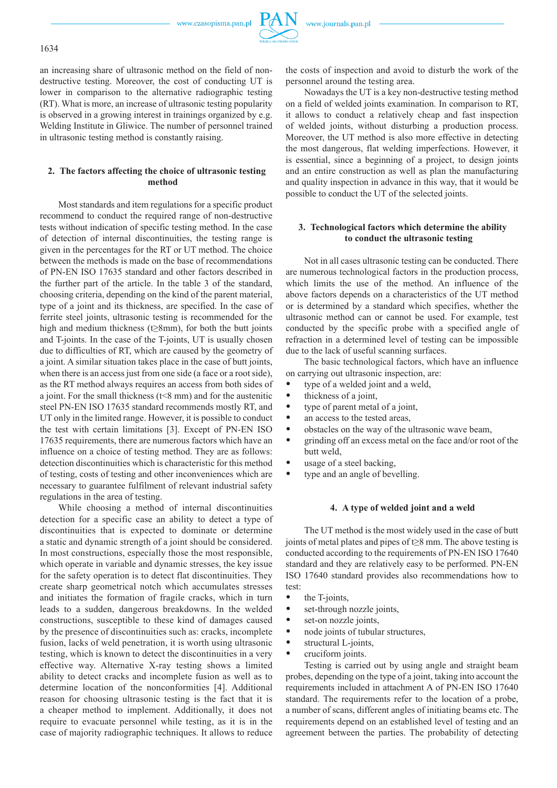

an increasing share of ultrasonic method on the field of nondestructive testing. Moreover, the cost of conducting UT is lower in comparison to the alternative radiographic testing (RT). What is more, an increase of ultrasonic testing popularity is observed in a growing interest in trainings organized by e.g. Welding Institute in Gliwice. The number of personnel trained in ultrasonic testing method is constantly raising.

## **2. The factors affecting the choice of ultrasonic testing method**

Most standards and item regulations for a specific product recommend to conduct the required range of non-destructive tests without indication of specific testing method. In the case of detection of internal discontinuities, the testing range is given in the percentages for the RT or UT method. The choice between the methods is made on the base of recommendations of PN-EN ISO 17635 standard and other factors described in the further part of the article. In the table 3 of the standard, choosing criteria, depending on the kind of the parent material, type of a joint and its thickness, are specified. In the case of ferrite steel joints, ultrasonic testing is recommended for the high and medium thickness (t≥8mm), for both the butt joints and T-joints. In the case of the T-joints, UT is usually chosen due to difficulties of RT, which are caused by the geometry of a joint. A similar situation takes place in the case of butt joints, when there is an access just from one side (a face or a root side), as the RT method always requires an access from both sides of a joint. For the small thickness  $(t<8$  mm) and for the austenitic steel PN-EN ISO 17635 standard recommends mostly RT, and UT only in the limited range. However, it is possible to conduct the test with certain limitations [3]. Except of PN-EN ISO 17635 requirements, there are numerous factors which have an influence on a choice of testing method. They are as follows: detection discontinuities which is characteristic for this method of testing, costs of testing and other inconveniences which are necessary to guarantee fulfilment of relevant industrial safety regulations in the area of testing.

While choosing a method of internal discontinuities detection for a specific case an ability to detect a type of discontinuities that is expected to dominate or determine a static and dynamic strength of a joint should be considered. In most constructions, especially those the most responsible, which operate in variable and dynamic stresses, the key issue for the safety operation is to detect flat discontinuities. They create sharp geometrical notch which accumulates stresses and initiates the formation of fragile cracks, which in turn leads to a sudden, dangerous breakdowns. In the welded constructions, susceptible to these kind of damages caused by the presence of discontinuities such as: cracks, incomplete fusion, lacks of weld penetration, it is worth using ultrasonic testing, which is known to detect the discontinuities in a very effective way. Alternative X-ray testing shows a limited ability to detect cracks and incomplete fusion as well as to determine location of the nonconformities [4]. Additional reason for choosing ultrasonic testing is the fact that it is a cheaper method to implement. Additionally, it does not require to evacuate personnel while testing, as it is in the case of majority radiographic techniques. It allows to reduce

the costs of inspection and avoid to disturb the work of the personnel around the testing area.

Nowadays the UT is a key non-destructive testing method on a field of welded joints examination. In comparison to RT, it allows to conduct a relatively cheap and fast inspection of welded joints, without disturbing a production process. Moreover, the UT method is also more effective in detecting the most dangerous, flat welding imperfections. However, it is essential, since a beginning of a project, to design joints and an entire construction as well as plan the manufacturing and quality inspection in advance in this way, that it would be possible to conduct the UT of the selected joints.

## **3. Technological factors which determine the ability to conduct the ultrasonic testing**

Not in all cases ultrasonic testing can be conducted. There are numerous technological factors in the production process, which limits the use of the method. An influence of the above factors depends on a characteristics of the UT method or is determined by a standard which specifies, whether the ultrasonic method can or cannot be used. For example, test conducted by the specific probe with a specified angle of refraction in a determined level of testing can be impossible due to the lack of useful scanning surfaces.

The basic technological factors, which have an influence on carrying out ultrasonic inspection, are:

- type of a welded joint and a weld,
- thickness of a joint.
- type of parent metal of a joint.
- an access to the tested areas,
- obstacles on the way of the ultrasonic wave beam,
- grinding off an excess metal on the face and/or root of the butt weld,
- usage of a steel backing,
- type and an angle of bevelling.

### **4. A type of welded joint and a weld**

The UT method is the most widely used in the case of butt joints of metal plates and pipes of t≥8 mm. The above testing is conducted according to the requirements of PN-EN ISO 17640 standard and they are relatively easy to be performed. PN-EN ISO 17640 standard provides also recommendations how to test:

- the T-joints,
- set-through nozzle joints,
- set-on nozzle joints.
- node joints of tubular structures,
- structural L-joints,
- cruciform joints.

Testing is carried out by using angle and straight beam probes, depending on the type of a joint, taking into account the requirements included in attachment A of PN-EN ISO 17640 standard. The requirements refer to the location of a probe, a number of scans, different angles of initiating beams etc. The requirements depend on an established level of testing and an agreement between the parties. The probability of detecting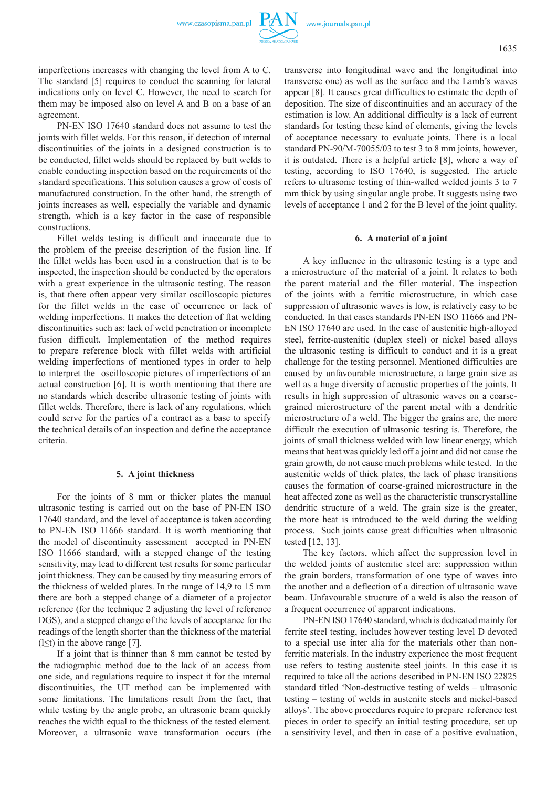imperfections increases with changing the level from A to C. The standard [5] requires to conduct the scanning for lateral indications only on level C. However, the need to search for them may be imposed also on level A and B on a base of an agreement.

PN-EN ISO 17640 standard does not assume to test the joints with fillet welds. For this reason, if detection of internal discontinuities of the joints in a designed construction is to be conducted, fillet welds should be replaced by butt welds to enable conducting inspection based on the requirements of the standard specifications. This solution causes a grow of costs of manufactured construction. In the other hand, the strength of joints increases as well, especially the variable and dynamic strength, which is a key factor in the case of responsible constructions.

Fillet welds testing is difficult and inaccurate due to the problem of the precise description of the fusion line. If the fillet welds has been used in a construction that is to be inspected, the inspection should be conducted by the operators with a great experience in the ultrasonic testing. The reason is, that there often appear very similar oscilloscopic pictures for the fillet welds in the case of occurrence or lack of welding imperfections. It makes the detection of flat welding discontinuities such as: lack of weld penetration or incomplete fusion difficult. Implementation of the method requires to prepare reference block with fillet welds with artificial welding imperfections of mentioned types in order to help to interpret the oscilloscopic pictures of imperfections of an actual construction [6]. It is worth mentioning that there are no standards which describe ultrasonic testing of joints with fillet welds. Therefore, there is lack of any regulations, which could serve for the parties of a contract as a base to specify the technical details of an inspection and define the acceptance criteria.

### **5. A joint thickness**

For the joints of 8 mm or thicker plates the manual ultrasonic testing is carried out on the base of PN-EN ISO 17640 standard, and the level of acceptance is taken according to PN-EN ISO 11666 standard. It is worth mentioning that the model of discontinuity assessment accepted in PN-EN ISO 11666 standard, with a stepped change of the testing sensitivity, may lead to different test results for some particular joint thickness. They can be caused by tiny measuring errors of the thickness of welded plates. In the range of 14,9 to 15 mm there are both a stepped change of a diameter of a projector reference (for the technique 2 adjusting the level of reference DGS), and a stepped change of the levels of acceptance for the readings of the length shorter than the thickness of the material (l $\leq$ t) in the above range [7].

If a joint that is thinner than 8 mm cannot be tested by the radiographic method due to the lack of an access from one side, and regulations require to inspect it for the internal discontinuities, the UT method can be implemented with some limitations. The limitations result from the fact, that while testing by the angle probe, an ultrasonic beam quickly reaches the width equal to the thickness of the tested element. Moreover, a ultrasonic wave transformation occurs (the

transverse into longitudinal wave and the longitudinal into transverse one) as well as the surface and the Lamb's waves appear [8]. It causes great difficulties to estimate the depth of deposition. The size of discontinuities and an accuracy of the estimation is low. An additional difficulty is a lack of current standards for testing these kind of elements, giving the levels of acceptance necessary to evaluate joints. There is a local standard PN-90/M-70055/03 to test 3 to 8 mm joints, however, it is outdated. There is a helpful article [8], where a way of testing, according to ISO 17640, is suggested. The article refers to ultrasonic testing of thin-walled welded joints 3 to 7 mm thick by using singular angle probe. It suggests using two levels of acceptance 1 and 2 for the B level of the joint quality.

#### **6. A material of a joint**

A key influence in the ultrasonic testing is a type and a microstructure of the material of a joint. It relates to both the parent material and the filler material. The inspection of the joints with a ferritic microstructure, in which case suppression of ultrasonic waves is low, is relatively easy to be conducted. In that cases standards PN-EN ISO 11666 and PN-EN ISO 17640 are used. In the case of austenitic high-alloyed steel, ferrite-austenitic (duplex steel) or nickel based alloys the ultrasonic testing is difficult to conduct and it is a great challenge for the testing personnel. Mentioned difficulties are caused by unfavourable microstructure, a large grain size as well as a huge diversity of acoustic properties of the joints. It results in high suppression of ultrasonic waves on a coarsegrained microstructure of the parent metal with a dendritic microstructure of a weld. The bigger the grains are, the more difficult the execution of ultrasonic testing is. Therefore, the joints of small thickness welded with low linear energy, which means that heat was quickly led off a joint and did not cause the grain growth, do not cause much problems while tested. In the austenitic welds of thick plates, the lack of phase transitions causes the formation of coarse-grained microstructure in the heat affected zone as well as the characteristic transcrystalline dendritic structure of a weld. The grain size is the greater, the more heat is introduced to the weld during the welding process. Such joints cause great difficulties when ultrasonic tested [12, 13].

The key factors, which affect the suppression level in the welded joints of austenitic steel are: suppression within the grain borders, transformation of one type of waves into the another and a deflection of a direction of ultrasonic wave beam. Unfavourable structure of a weld is also the reason of a frequent occurrence of apparent indications.

PN-EN ISO 17640 standard, which is dedicated mainly for ferrite steel testing, includes however testing level D devoted to a special use inter alia for the materials other than nonferritic materials. In the industry experience the most frequent use refers to testing austenite steel joints. In this case it is required to take all the actions described in PN-EN ISO 22825 standard titled 'Non-destructive testing of welds – ultrasonic testing – testing of welds in austenite steels and nickel-based alloys'. The above procedures require to prepare reference test pieces in order to specify an initial testing procedure, set up a sensitivity level, and then in case of a positive evaluation,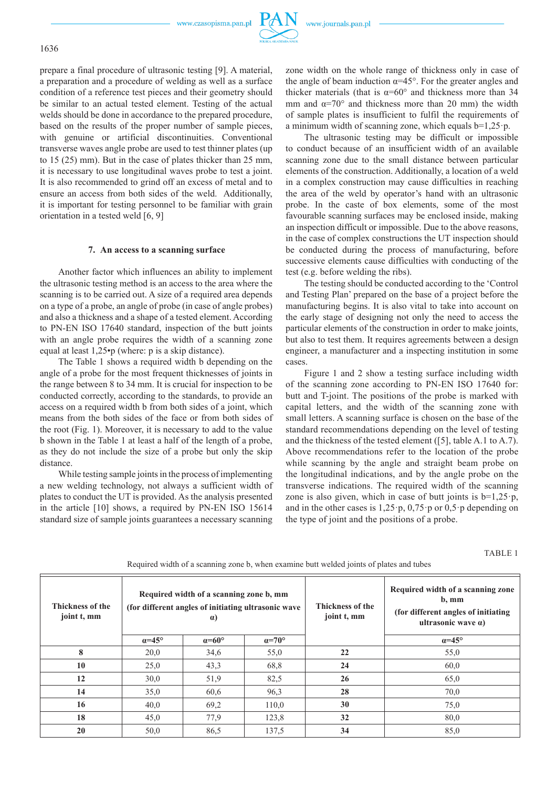

prepare a final procedure of ultrasonic testing [9]. A material, a preparation and a procedure of welding as well as a surface condition of a reference test pieces and their geometry should be similar to an actual tested element. Testing of the actual welds should be done in accordance to the prepared procedure, based on the results of the proper number of sample pieces, with genuine or artificial discontinuities. Conventional transverse waves angle probe are used to test thinner plates (up to 15 (25) mm). But in the case of plates thicker than 25 mm, it is necessary to use longitudinal waves probe to test a joint. It is also recommended to grind off an excess of metal and to ensure an access from both sides of the weld. Additionally, it is important for testing personnel to be familiar with grain orientation in a tested weld [6, 9]

### **7. An access to a scanning surface**

Another factor which influences an ability to implement the ultrasonic testing method is an access to the area where the scanning is to be carried out. A size of a required area depends on a type of a probe, an angle of probe (in case of angle probes) and also a thickness and a shape of a tested element. According to PN-EN ISO 17640 standard, inspection of the butt joints with an angle probe requires the width of a scanning zone equal at least 1,25•p (where: p is a skip distance).

The Table 1 shows a required width b depending on the angle of a probe for the most frequent thicknesses of joints in the range between 8 to 34 mm. It is crucial for inspection to be conducted correctly, according to the standards, to provide an access on a required width b from both sides of a joint, which means from the both sides of the face or from both sides of the root (Fig. 1). Moreover, it is necessary to add to the value b shown in the Table 1 at least a half of the length of a probe, as they do not include the size of a probe but only the skip distance.

While testing sample joints in the process of implementing a new welding technology, not always a sufficient width of plates to conduct the UT is provided. As the analysis presented in the article [10] shows, a required by PN-EN ISO 15614 standard size of sample joints guarantees a necessary scanning

zone width on the whole range of thickness only in case of the angle of beam induction  $\alpha = 45^{\circ}$ . For the greater angles and thicker materials (that is  $\alpha=60^\circ$  and thickness more than 34 mm and  $\alpha$ =70° and thickness more than 20 mm) the width of sample plates is insufficient to fulfil the requirements of a minimum width of scanning zone, which equals  $b=1,25$  p.

The ultrasonic testing may be difficult or impossible to conduct because of an insufficient width of an available scanning zone due to the small distance between particular elements of the construction. Additionally, a location of a weld in a complex construction may cause difficulties in reaching the area of the weld by operator's hand with an ultrasonic probe. In the caste of box elements, some of the most favourable scanning surfaces may be enclosed inside, making an inspection difficult or impossible. Due to the above reasons, in the case of complex constructions the UT inspection should be conducted during the process of manufacturing, before successive elements cause difficulties with conducting of the test (e.g. before welding the ribs).

The testing should be conducted according to the 'Control and Testing Plan' prepared on the base of a project before the manufacturing begins. It is also vital to take into account on the early stage of designing not only the need to access the particular elements of the construction in order to make joints, but also to test them. It requires agreements between a design engineer, a manufacturer and a inspecting institution in some cases.

Figure 1 and 2 show a testing surface including width of the scanning zone according to PN-EN ISO 17640 for: butt and T-joint. The positions of the probe is marked with capital letters, and the width of the scanning zone with small letters. A scanning surface is chosen on the base of the standard recommendations depending on the level of testing and the thickness of the tested element ([5], table A.1 to A.7). Above recommendations refer to the location of the probe while scanning by the angle and straight beam probe on the longitudinal indications, and by the angle probe on the transverse indications. The required width of the scanning zone is also given, which in case of butt joints is  $b=1,25 \cdot p$ , and in the other cases is 1,25·p, 0,75·p or 0,5·p depending on the type of joint and the positions of a probe.

TABLE 1

| <b>Thickness of the</b><br>joint t, mm | Required width of a scanning zone b, mm<br>(for different angles of initiating ultrasonic wave<br>$\alpha$ ) |                       |                       | <b>Thickness of the</b><br>joint t, mm | Required width of a scanning zone<br>$b$ , mm<br>(for different angles of initiating)<br>ultrasonic wave $\alpha$ ) |
|----------------------------------------|--------------------------------------------------------------------------------------------------------------|-----------------------|-----------------------|----------------------------------------|---------------------------------------------------------------------------------------------------------------------|
|                                        | $\alpha = 45^{\circ}$                                                                                        | $\alpha = 60^{\circ}$ | $\alpha = 70^{\circ}$ |                                        | $\alpha$ =45°                                                                                                       |
| 8                                      | 20,0                                                                                                         | 34,6                  | 55,0                  | 22                                     | 55,0                                                                                                                |
| 10                                     | 25,0                                                                                                         | 43,3                  | 68,8                  | 24                                     | 60,0                                                                                                                |
| 12                                     | 30,0                                                                                                         | 51,9                  | 82,5                  | 26                                     | 65,0                                                                                                                |
| 14                                     | 35,0                                                                                                         | 60.6                  | 96,3                  | 28                                     | 70,0                                                                                                                |
| 16                                     | 40,0                                                                                                         | 69,2                  | 110,0                 | 30                                     | 75,0                                                                                                                |
| 18                                     | 45,0                                                                                                         | 77,9                  | 123,8                 | 32                                     | 80,0                                                                                                                |
| 20                                     | 50,0                                                                                                         | 86,5                  | 137.5                 | 34                                     | 85,0                                                                                                                |

Required width of a scanning zone b, when examine butt welded joints of plates and tubes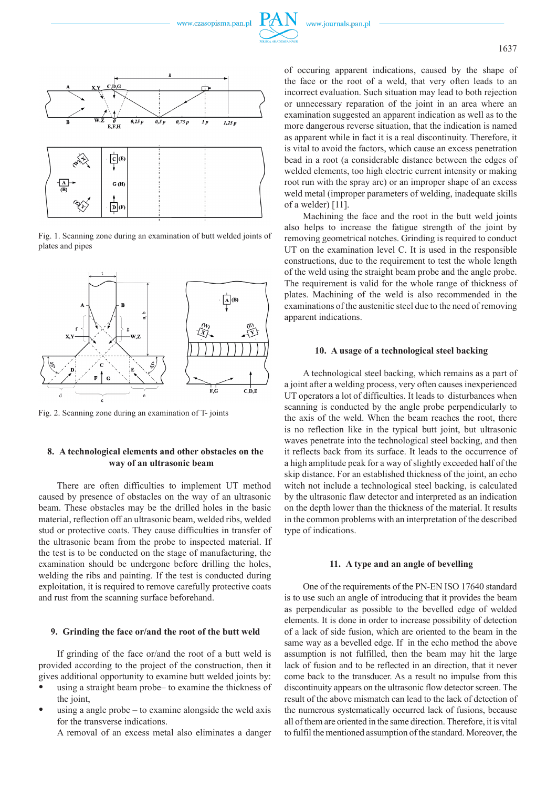

Fig. 1. Scanning zone during an examination of butt welded joints of plates and pipes



Fig. 2. Scanning zone during an examination of T- joints

## **8. a technological elements and other obstacles on the way of an ultrasonic beam**

There are often difficulties to implement UT method caused by presence of obstacles on the way of an ultrasonic beam. These obstacles may be the drilled holes in the basic material, reflection off an ultrasonic beam, welded ribs, welded stud or protective coats. They cause difficulties in transfer of the ultrasonic beam from the probe to inspected material. If the test is to be conducted on the stage of manufacturing, the examination should be undergone before drilling the holes, welding the ribs and painting. If the test is conducted during exploitation, it is required to remove carefully protective coats and rust from the scanning surface beforehand.

### **9. grinding the face or/and the root of the butt weld**

If grinding of the face or/and the root of a butt weld is provided according to the project of the construction, then it gives additional opportunity to examine butt welded joints by:

- using a straight beam probe– to examine the thickness of the joint.
- using a angle probe  $-$  to examine alongside the weld axis for the transverse indications.

A removal of an excess metal also eliminates a danger

of occuring apparent indications, caused by the shape of the face or the root of a weld, that very often leads to an incorrect evaluation. Such situation may lead to both rejection or unnecessary reparation of the joint in an area where an examination suggested an apparent indication as well as to the more dangerous reverse situation, that the indication is named as apparent while in fact it is a real discontinuity. Therefore, it is vital to avoid the factors, which cause an excess penetration bead in a root (a considerable distance between the edges of welded elements, too high electric current intensity or making root run with the spray arc) or an improper shape of an excess weld metal (improper parameters of welding, inadequate skills of a welder) [11].

Machining the face and the root in the butt weld joints also helps to increase the fatigue strength of the joint by removing geometrical notches. Grinding is required to conduct UT on the examination level C. It is used in the responsible constructions, due to the requirement to test the whole length of the weld using the straight beam probe and the angle probe. The requirement is valid for the whole range of thickness of plates. Machining of the weld is also recommended in the examinations of the austenitic steel due to the need of removing apparent indications.

#### **10. a usage of a technological steel backing**

A technological steel backing, which remains as a part of a joint after a welding process, very often causes inexperienced UT operators a lot of difficulties. It leads to disturbances when scanning is conducted by the angle probe perpendicularly to the axis of the weld. When the beam reaches the root, there is no reflection like in the typical butt joint, but ultrasonic waves penetrate into the technological steel backing, and then it reflects back from its surface. It leads to the occurrence of a high amplitude peak for a way of slightly exceeded half of the skip distance. For an established thickness of the joint, an echo witch not include a technological steel backing, is calculated by the ultrasonic flaw detector and interpreted as an indication on the depth lower than the thickness of the material. It results in the common problems with an interpretation of the described type of indications.

#### **11. a type and an angle of bevelling**

One of the requirements of the PN-EN ISO 17640 standard is to use such an angle of introducing that it provides the beam as perpendicular as possible to the bevelled edge of welded elements. It is done in order to increase possibility of detection of a lack of side fusion, which are oriented to the beam in the same way as a bevelled edge. If in the echo method the above assumption is not fulfilled, then the beam may hit the large lack of fusion and to be reflected in an direction, that it never come back to the transducer. As a result no impulse from this discontinuity appears on the ultrasonic flow detector screen. The result of the above mismatch can lead to the lack of detection of the numerous systematically occurred lack of fusions, because all of them are oriented in the same direction. Therefore, it is vital to fulfil the mentioned assumption of the standard. Moreover, the